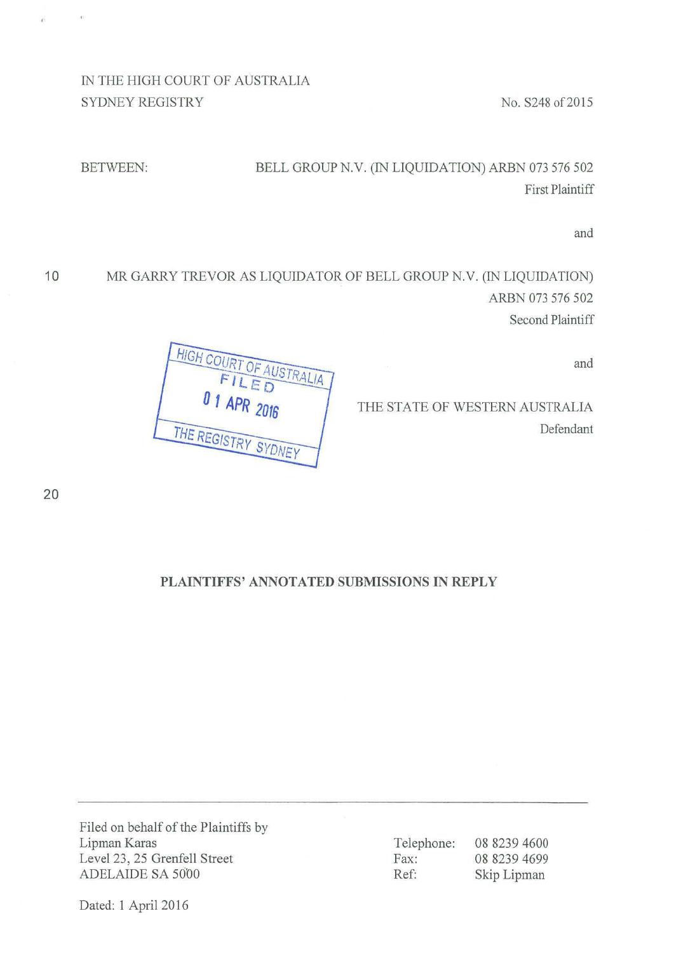IN THE HIGH COURT OF AUSTRALIA SYDNEY REGISTRY No. S248 of 2015

 $\infty$ 

 $\hat{\mathbf{r}}$ 

# BETWEEN: BELL GROUP N.V. (IN LIQUIDATION) ARBN 073 576 502 First Plaintiff

and

**10** MR GARRY TREVOR AS LIQUIDATOR OF BELL GROUP N.V. (IN LIQUIDATION) ARBN 073 576 502 Second Plaintiff

and

THE STATE OF WESTERN AUSTRALIA Defendant

**HIGH COUR** OF AUSTRALIA FILED  $01$  APR  $2016$ THE REGISTRY SYDNEY

20

## **PLAINTIFFS' ANNOTATED SUBMISSIONS IN REPLY**

Filed on behalf of the Plaintiffs by Lipman Karas Level 23, 25 Grenfell Street ADELAIDE SA 5000

Telephone: 08 8239 4600 Fax: 08 8239 4699 Ref: Skip Lipman

Dated: 1 April 2016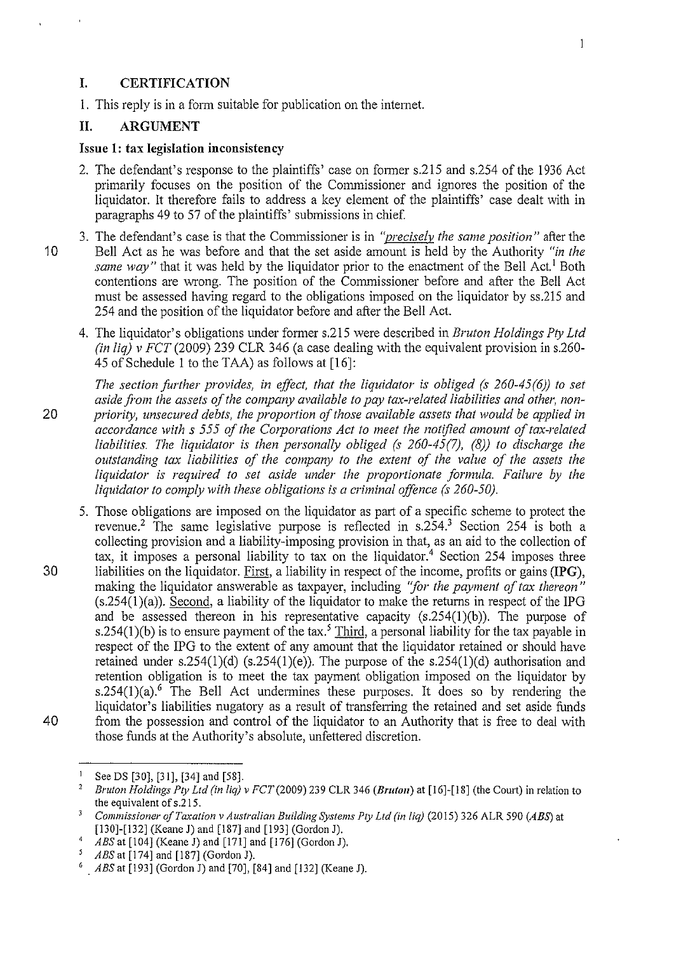#### **I. CERTIFICATION**

1. This reply is in a form suitable for publication on the intemet.

#### **II. ARGUMENT**

#### **Issue 1: tax legislation inconsistency**

- 2. The defendant's response to the plaintiffs' case on former s.215 and s.254 of the 1936 Act primarily focuses on the position of the Commissioner and ignores the position of the liquidator. It therefore fails to address a key element of the plaintiffs' case dealt with in paragraphs 49 to 57 of the plaintiffs' submissions in chief.
- 3. The defendant's case is that the Commissioner is in *"precisely the same position"* after the 10 Bell Act as he was before and that the set aside amount is held by the Authority *"in the same way*" that it was held by the liquidator prior to the enactment of the Bell Act.<sup>1</sup> Both contentions are wrong. The position of the Commissioner before and after the Bell Act must be assessed having regard to the obligations imposed on the liquidator by ss.215 and 254 and the position of the liquidator before and after the Bell Act.
	- 4. The liquidator's obligations under former s.215 were described in *Bruton Holdings Pty Ltd (in liq) v FCT* (2009) 239 CLR 346 (a case dealing with the equivalent provision in s.260- 45 of Schedule 1 to the TAA) as follows at [16]:
- *The section further provides, in effect, that the liquidator is obliged (s 260-45(6)) to set*  aside from the assets of the company available to pay tax-related liabilities and other, non-20 *priority, unsecured debts, the proportion of those available assets that would be applied in accordance with s 555 of the Corporations Act to meet the notified amount of tax-related liabilities. The liquidator is then personally obliged (s 260-45 (7), (8)) to discharge the outstanding tax liabilities of the company to the extent of the value of the assets the liquidator is required to set aside under the proportionate formula. Failure by the liquidator to comply with these obligations is a criminal offence (s 260-50).*
- 5. Those obligations are imposed on the liquidator as part of a specific scheme to protect the revenue.<sup>2</sup> The same legislative purpose is reflected in s.254.<sup>3</sup> Section 254 is both a collecting provision and a liability-imposing provision in that, as an aid to the collection of tax, it imposes a personal liability to tax on the liquidator.<sup>4</sup> Section 254 imposes three 30 liabilities on the liquidator. First, a liability in respect of the income, profits or gains **(IPG),**  making the liquidator answerable as taxpayer, including *"for the payment of tax thereon"*   $(s.254(1)(a))$ . Second, a liability of the liquidator to make the returns in respect of the IPG and be assessed thereon in his representative capacity  $(s.254(1)(b))$ . The purpose of s.254(1)(b) is to ensure payment of the tax.<sup>5</sup> Third, a personal liability for the tax payable in respect of the IPG to the extent of any amount that the liquidator retained or should have retained under s.254(1)(d) (s.254(1)(e)). The purpose of the s.254(1)(d) authorisation and retention obligation is to meet the tax payment obligation imposed on the liquidator by s.254(1)(a).<sup>6</sup> The Bell Act undermines these purposes. It does so by rendering the liquidator's liabilities nugatory as a result of transferring the retained and set aside funds 40 from the possession and control of the liquidator to an Authority that is free to deal with those funds at the Authority's absolute, unfettered discretion.

<sup>&</sup>lt;sup>1</sup> See DS [30], [31], [34] and [58].<br><sup>2</sup> *Bruton Holdings Pty Ltd (in liq) v FCT* (2009) 239 CLR 346 *(Bruton*) at [16]-[18] (the Court) in relation to

the equivalent of s.215.<br><sup>3</sup> *Commissioner of Taxation v Australian Building Systems Pty Ltd (in liq)* (2015) 326 ALR 590 *(ABS)* at [130]-[132] *(Keane J)* and [187] and [193] *(Gordon J)*.

<sup>[130]-[132] (</sup>Keane J) and [187] and [193] (Gordon J). 4 *ABS* at [104] (Keane J) and [171] and [176] (Gordon J).

<sup>&</sup>lt;sup>5</sup> *ABS* at [174] and [187] (Gordon J).<br><sup>6</sup> *ABS* at [193] (Gordon J) and [70], [84] and [132] (Keane J).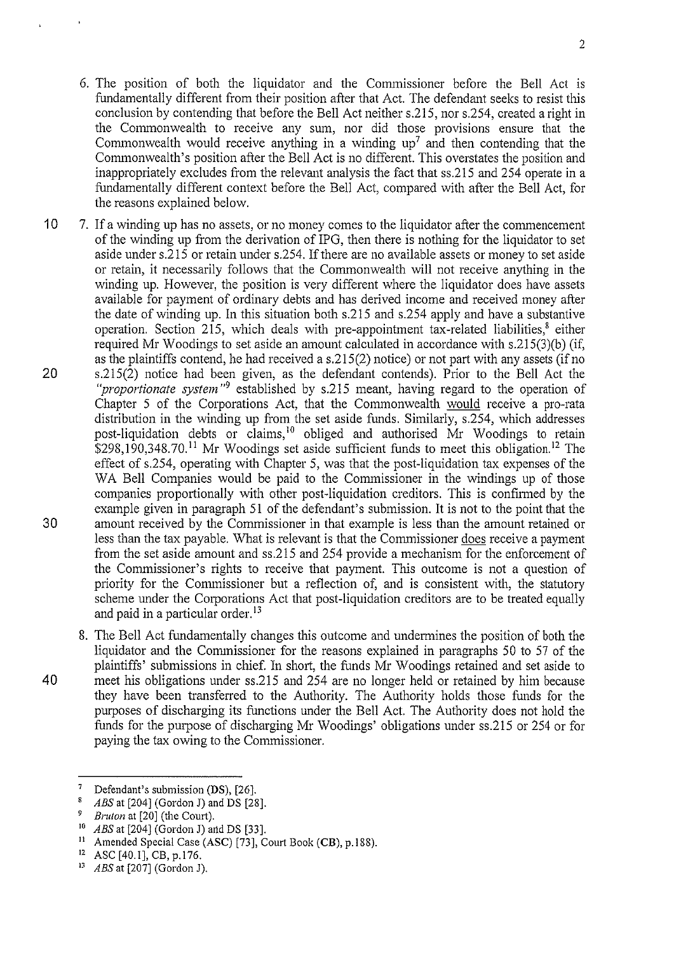- 6. The position of both the liquidator and the Commissioner before the Bell Act is fundamentally different from their position after that Act. The defendant seeks to resist this conclusion by contending that before the Bell Act neither s.215, nor s.254, created a right in the Commonwealth to receive any sum, nor did those provisions ensure that the Commonwealth would receive anything in a winding up<sup>7</sup> and then contending that the Commonwealth's position after the Bell Act is no different. This overstates the position and inappropriately excludes from the relevant analysis the fact that ss.215 and 254 operate in a fundamentally different context before the Bell Act, compared with after the Bell Act, for the reasons explained below.
- 10 7. If a winding up has no assets, or no money comes to the liquidator after the commencement of the winding up from the derivation of IPG, then there is nothing for the liquidator to set aside under s.215 or retain under s.254. If there are no available assets or money to set aside or retain, it necessarily follows that the Commonwealth will not receive anything in the winding up. However, the position is very different where the liquidator does have assets available for payment of ordinary debts and has derived income and received money after the date of winding up. In this situation both s.215 and s.254 apply and have a substantive operation. Section 215, which deals with pre-appointment tax-related liabilities, $^8$  either required Mr Woodings to set aside an amount calculated in accordance with s.215(3)(b) (if, as the plaintiffs contend, he had received a s.215(2) notice) or not part with any assets (if no 20 s.215(2) notice had been given, as the defendant contends). Prior to the Bell Act the *"proportionate system* "9 established by s.215 meant, having regard to the operation of Chapter 5 of the Corporations Act, that the Commonwealth would receive a pro-rata distribution in the winding up from the set aside funds. Similarly, s.254, which addresses post-liquidation debts or claims,<sup>10</sup> obliged and authorised Mr Woodings to retain  $$298.190.348.70<sup>11</sup>$  Mr Woodings set aside sufficient funds to meet this obligation.<sup>12</sup> The effect of s.254, operating with Chapter 5, was that the post-liquidation tax expenses of the WA Bell Companies would be paid to the Commissioner in the windings up of those companies proportionally with other post-liquidation creditors. This is confirmed by the example given in paragraph 51 of the defendant's submission. It is not to the point that the 30 amount received by the Commissioner in that example is less than the amount retained or less than the tax payable. What is relevant is that the Commissioner does receive a payment from the set aside amount and ss.215 and 254 provide a mechanism for the enforcement of the Commissioner's rights to receive that payment. This outcome is not a question of priority for the Commissioner but a reflection of, and is consistent with, the statutory scheme under the Corporations Act that post-liquidation creditors are to be treated equally and paid in a particular order.<sup>13</sup>
- 8. The Bell Act fundamentally changes this outcome and undennines the position of both the liquidator and the Commissioner for the reasons explained in paragraphs 50 to 57 of the plaintiffs' submissions in chief. In short, the funds Mr Woodings retained and set aside to 40 meet his obligations under ss.215 and 254 are no longer held or retained by him because they have been transferred to the Authority. The Authority holds those funds for the purposes of discharging its functions under the Bell Act. The Authority does not hold the funds for the purpose of discharging Mr Woodings' obligations under ss.215 or 254 or for paying the tax owing to the Commissioner.

<sup>&</sup>lt;sup>7</sup> Defendant's submission (DS),  $[26]$ .<br><sup>8</sup>  $\leq$  4PS at  $[204]$  (Gordon I) and DS  $[28]$ 

 $8$  ABS at [204] (Gordon J) and DS [28].

 $\frac{9}{10}$  *Bruton* at [20] (the Court).

<sup>&</sup>lt;sup>10</sup> *ABS* at [204] (Gordon J) and DS [33].<br><sup>11</sup> Amended Special Case (ASC) [73], Court Book (CB), p.188).<br><sup>12</sup> ASC [40.1], CB, p.176.<br><sup>13</sup> *ABS* at [207] (Gordon J).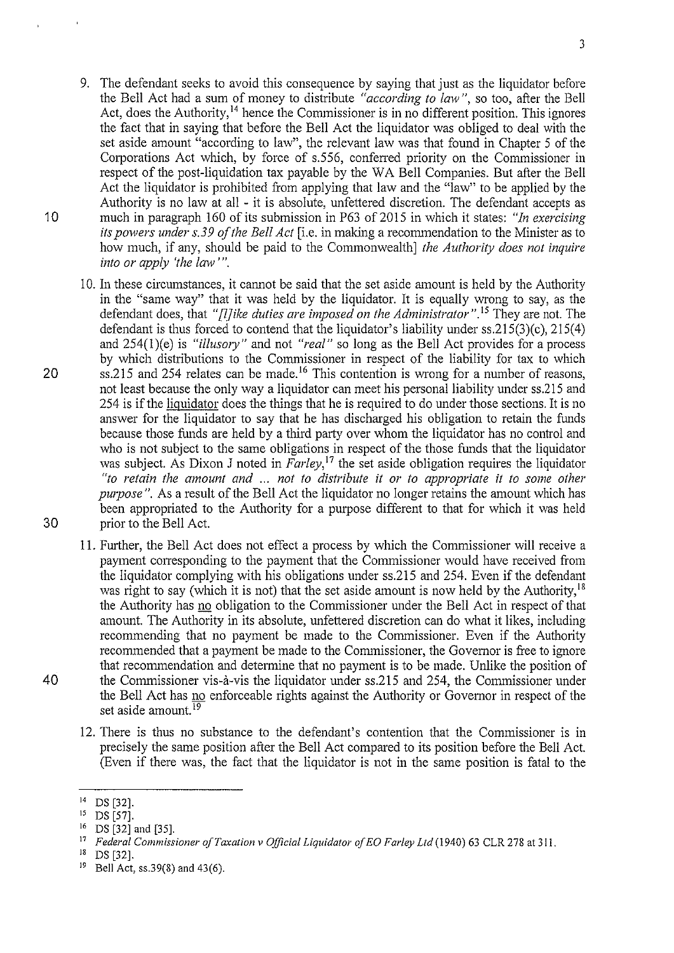- 9. The defendant seeks to avoid this consequence by saying that just as the liquidator before the Bell Act had a sum of money to distribute *"according to law",* so too, after the Bell Act, does the Authority,<sup>14</sup> hence the Commissioner is in no different position. This ignores the fact that in saying that before the Bell Act the liquidator was obliged to deal with the set aside amount "according to law", the relevant law was that found in Chapter 5 of the Corporations Act which, by force of s.556, conferred priority on the Commissioner in respect of the post-liquidation tax payable by the WA Bell Companies. But after the Bell Act the liquidator is prohibited from applying that law and the "law" to be applied by the Authority is no law at all - it is absolute, unfettered discretion. The defendant accepts as 10 much in paragraph 160 of its submission in P63 of2015 in which it states: *"In exercising its powers under s.39 of the Bell Act* [i.e. in making a recommendation to the Minister as to how much, if any, should be paid to the Commonwealth] *the Authority does not inquire into or apply 'the law'".*
- 10. In these circumstances, it cannot be said that the set aside amount is held by the Authority in the "same way" that it was held by the liquidator. It is equally wrong to say, as the defendant does, that *"[l]ike duties are imposed on the Administrator*".<sup>15</sup> They are not. The defendant is thus forced to contend that the liquidator's liability under  $ss.215(3)(c)$ ,  $215(4)$ and 254(1)(e) is *"illusory"* and not *"real"* so long as the Bell Act provides for a process by which distributions to the Commissioner in respect of the liability for tax to which 20 ss.215 and 254 relates can be made.<sup>16</sup> This contention is wrong for a number of reasons, not least because the only way a liquidator can meet his personal liability under ss.215 and 254 is if the liquidator does the things that he is required to do under those sections. It is no answer for the liquidator to say that he has discharged his obligation to retain the funds because those funds are held by a third party over whom the liquidator has no control and who is not subject to the same obligations in respect of the those funds that the liquidator was subject. As Dixon J noted in *Farley*,<sup>17</sup> the set aside obligation requires the liquidator *"to retain the amount and* ... *not to distribute it or to appropriate* it *to some other pwpose* ". As a result of the Bell Act the liquidator no longer retains the amount which has been appropriated to the Authority for a purpose different to that for which it was held 30 prior to the Bell Act.
- 11. Further, the Bell Act does not effect a process by which the Commissioner will receive a payment corresponding to the payment that the Conunissioner would have received from the liquidator complying with his obligations under ss.215 and 254. Even if the defendant was right to say (which it is not) that the set aside amount is now held by the Authority, <sup>18</sup> the Authority has no obligation to the Commissioner under the Bell Act in respect of that amount. The Authority in its absolute, unfettered discretion can do what it likes, including recommending that no payment be made to the Commissioner. Even if the Authority recommended that a payment be made to the Commissioner, the Governor is free to ignore that recommendation and determine that no payment is to be made. Unlike the position of 40 the Commissioner vis-a-vis the liquidator under ss.215 and 254, the Commissioner under the Bell Act has no enforceable rights against the Authority or Governor in respect of the set aside amount.<sup>19</sup>
	- 12. There is thus no substance to the defendant's contention that the Commissioner is in precisely the same position after the Bell Act compared to its position before the Bell Act. (Even if there was, the fact that the liquidator is not in the same position is fatal to the

 $^{14}$  DS [32].<br> $^{15}$  DS [57]

 $^{15}$  DS [57].

 $^{16}$  DS [32] and [35].

<sup>17</sup>*Federal Commissioner of Taxation v Official Liquidator of EO Farley Ltd* (1940) 63 CLR 278 at 311.

 $^{18}$  DS [32].<br> $^{19}$  Bell Act

Bell Act, ss.39(8) and 43(6).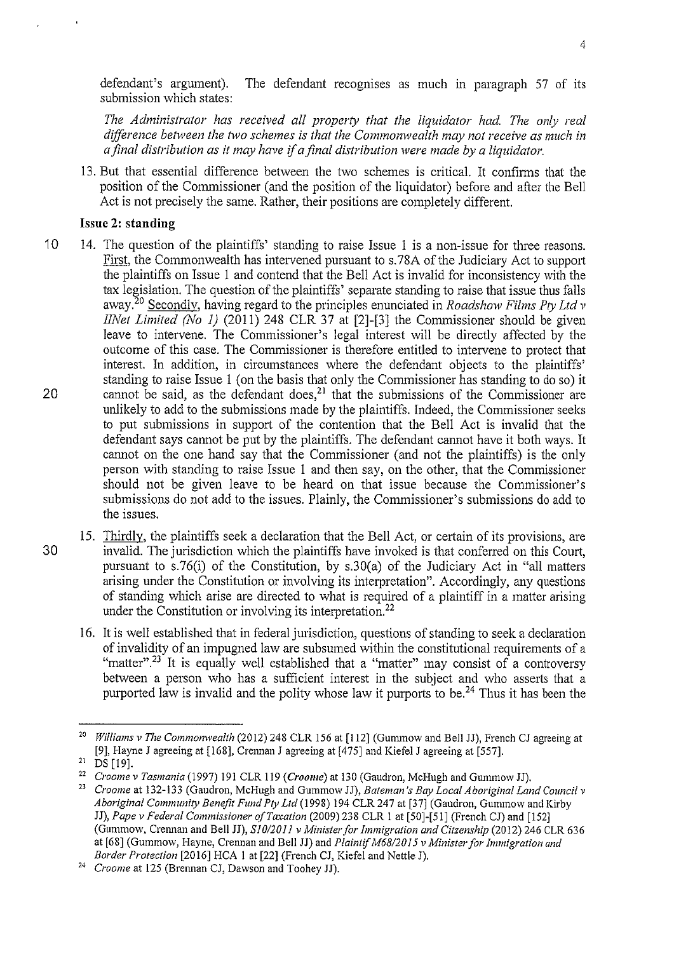defendant's argument). The defendant recognises as much in paragraph 57 of its submission which states:

*The Administrator has received all property that the liquidator had The only real difference between the two schemes is that the Commonwealth may not receive as much in a final distribution as it may have* if *a final distribution were made by a liquidator.* 

13. But that essential difference between the two schemes is critical. It confirms that the position of the Commissioner (and the position of the liquidator) before and after the Bell Act is not precisely the same. Rather, their positions are completely different.

## **Issue 2: standing**

- 10 14. The question of the plaintiffs' standing to raise Issue 1 is a non-issue for three reasons. First, the Commonwealth has intervened pursuant to s.78A of the Judiciary Act to support the plaintiffs on Issue 1 and contend that the Bell Act is invalid for inconsistency with the tax legislation. The question of the plaintiffs' separate standing to raise that issue thus falls away.20 Secondly, having regard to the principles enunciated in *Roads how Films Pty Ltd v IINet Limited (No 1)* (2011) 248 CLR 37 at  $[2]$ - $[3]$  the Commissioner should be given leave to intervene. The Conunissioner's legal interest will be directly affected by the outcome of this case. The Commissioner is therefore entitled to intervene to protect that interest. In addition, in circumstances where the defendant objects to the plaintiffs' standing to raise Issue 1 (on the basis that only the Commissioner has standing to do so) it 20 cannot be said, as the defendant does,<sup>21</sup> that the submissions of the Commissioner are unlikely to add to the submissions made by the plaintiffs. Indeed, the Commissioner seeks to put submissions in support of the contention that the Bell Act is invalid that the defendant says cannot be put by the plaintiffs. The defendant cannot have it both ways. It cannot on the one hand say that the Commissioner (and not the plaintiffs) is the only person with standing to raise Issue 1 and then say, on the other, that the Commissioner should not be given leave to be heard on that issue because the Commissioner's submissions do not add to the issues. Plainly, the Commissioner's submissions do add to the issues.
- 15. Thirdly, the plaintiffs seek a declaration that the Bell Act, or certain of its provisions, are 30 invalid. The jurisdiction which the plaintiffs have invoked is that conferred on this Court, pursuant to s.76(i) of the Constitution, by s.30(a) of the Judiciary Act **in** "all matters arising under the Constitution or involving its interpretation". Accordingly, any questions of standing which arise are directed to what is required of a plaintiff in a matter arising under the Constitution or involving its interpretation.<sup>22</sup>
	- 16. It is well established that in federal jurisdiction, questions of standing to seek a declaration of invalidity of an impugned law are subsumed within the constitutional requirements of a "matter".<sup>23</sup> It is equally well established that a "matter" may consist of a controversy between a person who has a sufficient interest in the subject and who asserts that a purported law is invalid and the polity whose law it purports to be.<sup>24</sup> Thus it has been the

<sup>&</sup>lt;sup>20</sup> *Williams v The Commonwealth* (2012) 248 CLR 156 at [112] (Gummow and Bell JJ), French CJ agreeing at [9], Hayne J agreeing at [168], Crennan J agreeing at [475] and Kiefel J agreeing at [557].

<sup>&</sup>lt;sup>21</sup> DS [19].<br><sup>22</sup> *Croome v Tasmania* (1997) 191 CLR 119 (*Croome*) at 130 (Gaudron, McHugh and Gummow JJ).<br><sup>23</sup> *Croome* at 132-133 (Gaudron, McHugh and Gummow JJ), *Bateman's Bay Local Aboriginal Land Council v* 

*Aboriginal Community Benefit Fund Pty Ltd* (1998) 194 CLR 247 at [37] (Gaudron, Gummow and Kirby **JJ),** *Pape v Federal Commissioner of Taxation* (2009) 238 CLR I at [50]-[51] (French CJ) and [152] (Gummow, Crennan and Bell JJ), *S/01201 I v Minister for Immigration and Citzenship* (20 12) 246 CLR 636 at [68] (Gummow, Hayne, Crerman and Bell **JJ)** and *Plaintif M68/20/ 5 v Ministerfor Immigration and Border Protection* [2016] HCA 1 at [22] (French CJ, Kiefel and Nettle J).<br><sup>24</sup> *Croome* at 125 (Brennan CJ, Dawson and Toohey JJ).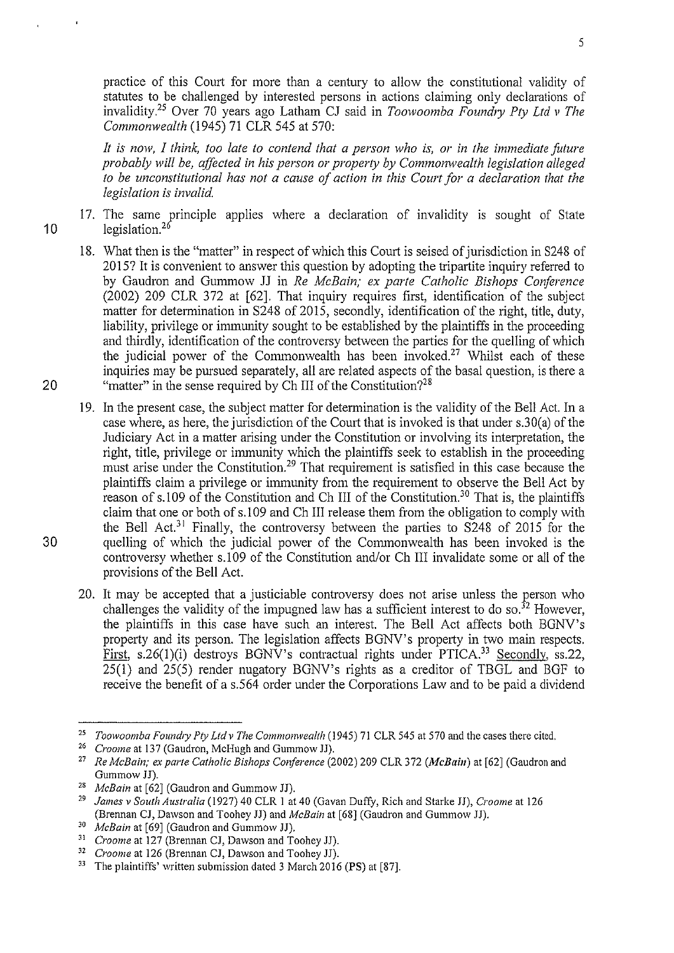practice of this Court for more than a century to allow the constitutional validity of statutes to be challenged by interested persons in actions claiming only declarations of invalidity.<sup>25</sup> Over 70 years ago Latham CJ said in *Toowoomba Foundry Pty Ltd v The Commonwealth* (1945) 71 CLR 545 at 570:

*It is now, I think, too late to contend that a person who* is, *or in the immediate future probably will be, affected in his person or property by Commonwealth legislation alleged to be unconstitutional has not a cause of action in this Court for a declaration that the legislation is invalid.* 

- 10 17. The same principle applies where a declaration of invalidity is sought of State legislation.<sup>26</sup>
	- 18. What then is the "matter" in respect of which this Court is seised of jurisdiction in S248 of 2015? It is convenient to answer this question by adopting the tripartite inquiry referred to by Gaudron and Gummow JJ in *Re McBain; ex parte Catholic Bishops Conference*   $(2002)$  209 CLR 372 at  $[62]$ . That inquiry requires first, identification of the subject matter for determination in  $S248$  of 2015, secondly, identification of the right, title, duty, liability, privilege or immunity sought to be established by the plaintiffs in the proceeding and thirdly, identification of the controversy between the parties for the quelling of which the judicial power of the Commonwealth has been invoked.<sup>27</sup> Whilst each of these inquiries may be pursued separately, all are related aspects of the basal question, is there a "matter" in the sense required by Ch III of the Constitution?<sup>28</sup>
	- 19. In the present case, the subject matter for determination is the validity of the Bell Act. In a case where, as here, the jurisdiction of the Court that is invoked is that under  $s.30(a)$  of the Judiciary Act in a matter arising under the Constitution or involving its interpretation, the right, title, privilege or immunity which the plaintiffs seek to establish in the proceeding must arise under the Constitution.<sup>29</sup> That requirement is satisfied in this case because the plaintiffs claim a privilege or immunity from the requirement to observe the Bell Act by reason of s.109 of the Constitution and Ch III of the Constitution.<sup>30</sup> That is, the plaintiffs claim that one or both of s.l 09 and Ch III release them from the obligation to comply with the Bell Act.<sup>31</sup> Finally, the controversy between the parties to S248 of 2015 for the quelling of which the judicial power of the Commonwealth has been invoked is the controversy whether s.l 09 of the Constitution and/or Ch III invalidate some or all of the provisions of the Bell Act.
	- 20. It may be accepted that a justiciable controversy does not arise unless the person who challenges the validity of the impugned law has a sufficient interest to do so.<sup>32</sup> However, the plaintiffs in this case have such an interest. The Bell Act affects both BGNV's property and its person. The legislation affects BGNV's property in two main respects. First, s.26(1)(i) destroys BGNV's contractual rights under PTICA.<sup>33</sup> Secondly, ss.22, 25(1) and 25(5) render nugatory BONY's rights as a creditor of TBGL and BGF to receive the benefit of a s.564 order under the Corporations Law and to be paid a dividend

30

20

<sup>&</sup>lt;sup>25</sup> *Toowoomba Foundry Pty Ltd v The Commonwealth* (1945) 71 CLR 545 at 570 and the cases there cited.

<sup>26</sup>*Croome* at 137 (Gaudron, McHugh and Gummow JJ).

<sup>27</sup>*Re McBain; ex parte Catholic Bishops Conference* (2002) 209 CLR 372 *(McBain)* at [62] (Gaudron and Gummow JJ).

<sup>28</sup>*McBain* at [62] (Gaudron and Gummow JJ).

<sup>29</sup>*James v South Australia* (1927) 40 CLR I at 40 (Gavan Duffy, Rich and Starke JJ), *Croome* at 126 (Brennan CJ, Dawson and Toohey JJ) and *McBain* at [68] (Gaudron and Gummow JJ). 30 *McBain* at [69] (Gaudron and Gummow JJ).

<sup>31</sup>*Croome* at 127 (Brennan CJ, Dawson and Toohey JJ). 32 *Croome* at 126 (Brennan CJ, Dawson and Toohey JJ).

<sup>&</sup>lt;sup>33</sup> The plaintiffs' written submission dated 3 March 2016 (PS) at [87].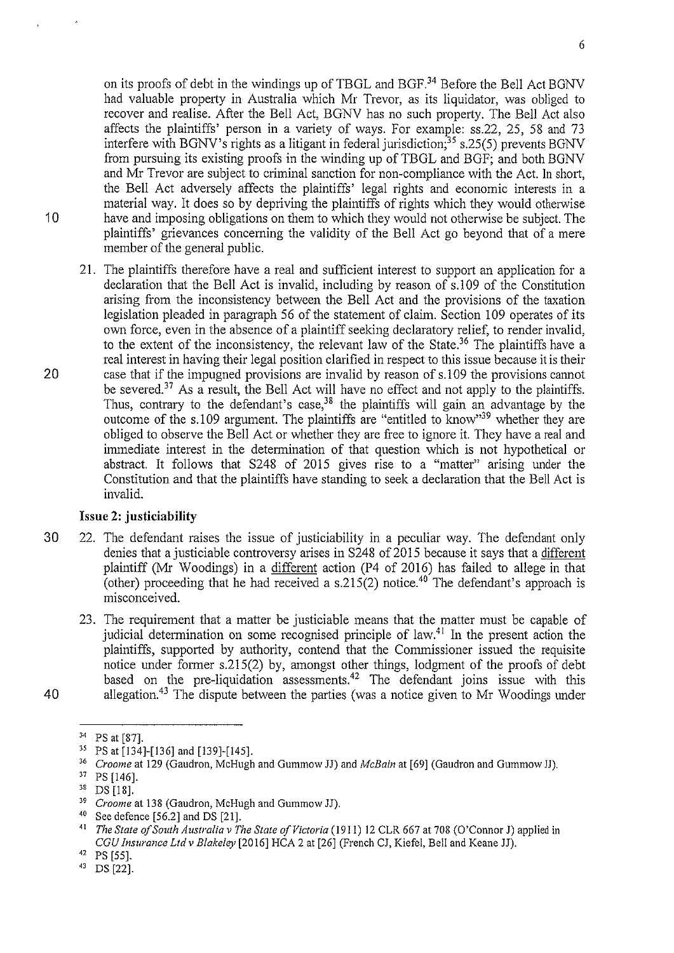on its proofs of debt in the windings up of TBGL and BGF.<sup>34</sup> Before the Bell Act BGNV had valuable property in Australia which Mr Trevor, as its liquidator, was obliged to recover and realise. After the Bell Act, BGNV has no such property. The Bell Act also affects the plaintiffs' person in a variety of ways. For example: ss.22, 25, 58 and 73 interfere with BGNV's rights as a litigant in federal jurisdiction;<sup>35</sup> s.25(5) prevents BGNV from pursuing its existing proofs in the winding up of TBGL and BGF; and both BGNV and Mr Trevor are subject to criminal sanction for non-compliance with the Act. In short, the Bell Act adversely affects the plaintiffs' legal rights and economic interests in a material way. It does so by depriving the plaintiffs of rights which they would otherwise 10 have and imposing obligations on them to which they would not otherwise be subject. The plaintiffs' grievances concerning the validity of the Bell Act go beyond that of a mere member of the general public.

21. The plaintiffs therefore have a real and sufficient interest to support an application for a declaration that the Bell Act is invalid, including by reason of s.l 09 of the Constitution arising from the inconsistency between the Bell Act and the provisions of the taxation legislation pleaded in paragraph 56 of the statement of claim. Section 109 operates of its own force, even in the absence of a plaintiff seeking declaratory relief, to render invalid, to the extent of the inconsistency, the relevant law of the State.<sup>36</sup> The plaintiffs have a real interest in having their legal position clarified in respect to this issue because it is their 20 case that if the impugned provisions are invalid by reason of s.l 09 the provisions cannot be severed.<sup>37</sup> As a result, the Bell Act will have no effect and not apply to the plaintiffs. Thus, contrary to the defendant's case,<sup>38</sup> the plaintiffs will gain an advantage by the outcome of the s.l 09 argument. The plaintiffs are "entitled to know"39 whether they are obliged to observe the Bell Act or whether they are free to ignore it. They have a real and immediate interest in the determination of that question which is not hypothetical or abstract. It follows that S248 of 2015 gives rise to a "matter" arising under the Constitution and that the plaintiffs have standing to seek a declaration that the Bell Act is invalid.

### **Issue 2: justiciability**

- 30 22. The defendant raises the issue of justiciability in a peculiar way. The defendant only denies that a justiciable controversy arises in  $S248$  of 2015 because it says that a different plaintiff (Mr Woodings) in a different action (P4 of 2016) has failed to allege in that (other) proceeding that he had received a s.215(2) notice.<sup>40</sup> The defendant's approach is misconceived.
- 23. The requirement that a matter be justiciable means that the matter must be capable of judicial determination on some recognised principle of law.<sup>41</sup> In the present action the plaintiffs, supported by authority, contend that the Commissioner issued the requisite notice under fotmer s.215(2) by, amongst other things, lodgment of the proofs of debt based on the pre-liquidation assessments.<sup>42</sup> The defendant joins issue with this 40 allegation.<sup>43</sup> The dispute between the parties (was a notice given to Mr Woodings under

<sup>&</sup>lt;sup>34</sup> PS at [87].<br><sup>35</sup> PS at [134]-[136] and [139]-[145].<br><sup>36</sup> *Croome* at 129 (Gaudron, McHugh and Gummow JJ) and *McBain* at [69] (Gaudron and Gummow JJ).

<sup>&</sup>lt;sup>37</sup> PS [146].<br><sup>38</sup> DS [18].<br><sup>39</sup> Croome at 138 (Gaudron, McHugh and Gummow JJ).<br><sup>40</sup> See defence [56.2] and DS [21].<br><sup>41</sup> The State of South Australia v The State of Victoria (1911) 12 CLR 667 at 708 (O'Connor J) applied *CGU Insurance Ltd v Blakeley* [2016] HCA 2 at [26] (French CJ, Kiefel, Bell and Keane JJ).<br><sup>42</sup> PS [55].<br><sup>43</sup> DS [22].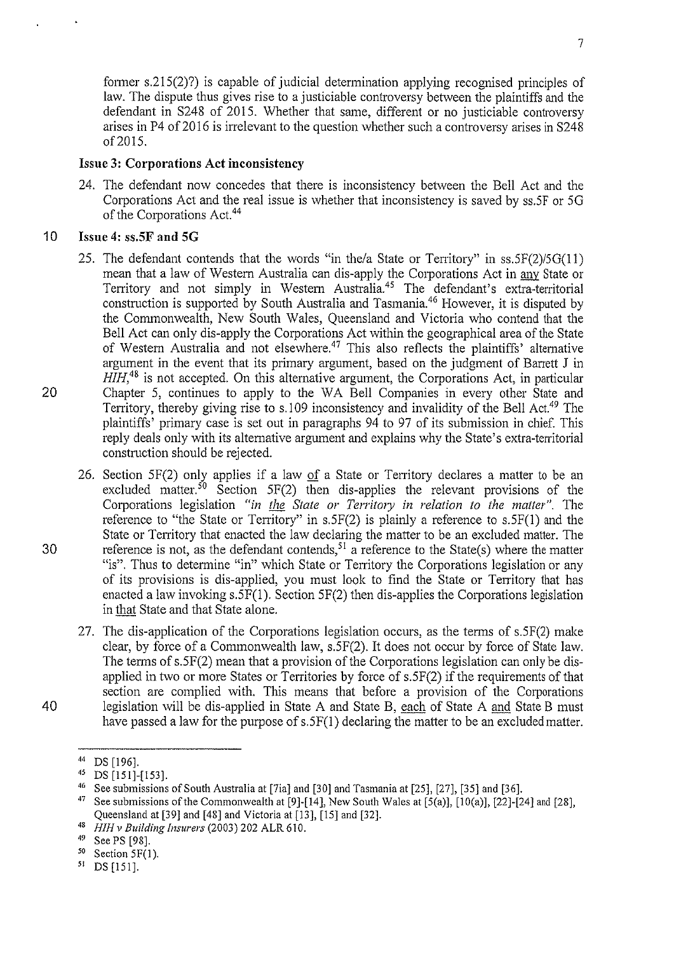fotmer s.215(2)?) is capable of judicial determination applying recognised principles of law. The dispute thus gives rise to a justiciable controversy between the plaintiffs and the defendant in S248 of 2015. Whether that same, different or no justiciable controversy arises in P4 of 2016 is inelevant to the question whether such a controversy arises in S248 of2015.

## **Issue 3: Corporations Act inconsistency**

24. The defendant now concedes that there is inconsistency between the Bell Act and the Corporations Act and the real issue is whether that inconsistency is saved by ss.SF or 50 of the Corporations Act. 44

## 1 0 **Issue 4: ss.SF and SG**

- 25. The defendant contends that the words "in the/a State or Territory" in  $ss.5F(2)/5G(11)$ mean that a law of Western Australia can dis-apply the Corporations Act in <u>any</u> State or Territory and not simply in Western Australia.<sup>45</sup> The defendant's extra-territorial construction is supported by South Australia and Tasmania.<sup>46</sup> However, it is disputed by the Commonwealth, New South Wales, Queensland and Victoria who contend that the Bell Act can only dis-apply the Corporations Act within the geographical area of the State of Western Australia and not elsewhere.<sup>47</sup> This also reflects the plaintiffs' alternative argument in the event that its primary argument, based on the judgment of Banett J in *HIH*,<sup>48</sup> is not accepted. On this alternative argument, the Corporations Act, in particular 20 Chapter 5, continues to apply to the WA Bell Companies in every other State and Territory, thereby giving rise to s.109 inconsistency and invalidity of the Bell Act.<sup>49</sup> The plaintiffs' primary case is set out in paragraphs 94 to 97 of its submission in chief. This reply deals only with its altemative argument and explains why the State's extra-territorial construction should be rejected.
- 26. Section  $5F(2)$  only applies if a law of a State or Territory declares a matter to be an excluded matter.<sup>50</sup> Section 5F(2) then dis-applies the relevant provisions of the Corporations legislation "in the State or Territory in relation to the matter". The reference to "the State or Territory" in s.5F(2) is plainly a reference to s.5F(1) and the State or Territory that enacted the law declaring the matter to be an excluded matter. The 30 reference is not, as the defendant contends, <sup>51</sup> a reference to the State(s) where the matter "is". Thus to determine "in" which State or Territory the Corporations legislation or any of its provisions is dis-applied, you must look to find the State or Tenitory that has enacted a law invoking s.SF(l ). Section 5F(2) then dis-applies the Corporations legislation in that State and that State alone.
- 27. The dis-application of the Corporations legislation occurs, as the terms of s.5F(2) malce clear, by force of a Commonwealth law, s.5F(2). It does not occur by force of State law. The terms of  $s.5F(2)$  mean that a provision of the Corporations legislation can only be disapplied in two or more States or Territories by force of s.5F(2) if the requirements of that section are complied with. This means that before a provision of the Corporations 40 legislation will be dis-applied in State A and State B, each of State A and State B must have passed a law for the purpose of s.5F(1) declaring the matter to be an excluded matter.

<sup>44</sup> DS [196]. 45 DS [151]-[153].

<sup>46</sup> See submissions of South Australia at [7ia] and [30] and Tasmania at [25], [27], [35] and [36].

<sup>&</sup>lt;sup>47</sup> See submissions of the Commonwealth at [9]-[14], New South Wales at  $[5(a)]$ ,  $[10(a)]$ ,  $[22]$ -[24] and  $[28]$ , Queensland at [39] and [48] and Victoria at [13], [15] and [32]. 48 *HIH v Building Insurers* (2003) 202 ALR 610.

 $^{50}$  Section 5F(1).<br>51 DS [151].

DS [151].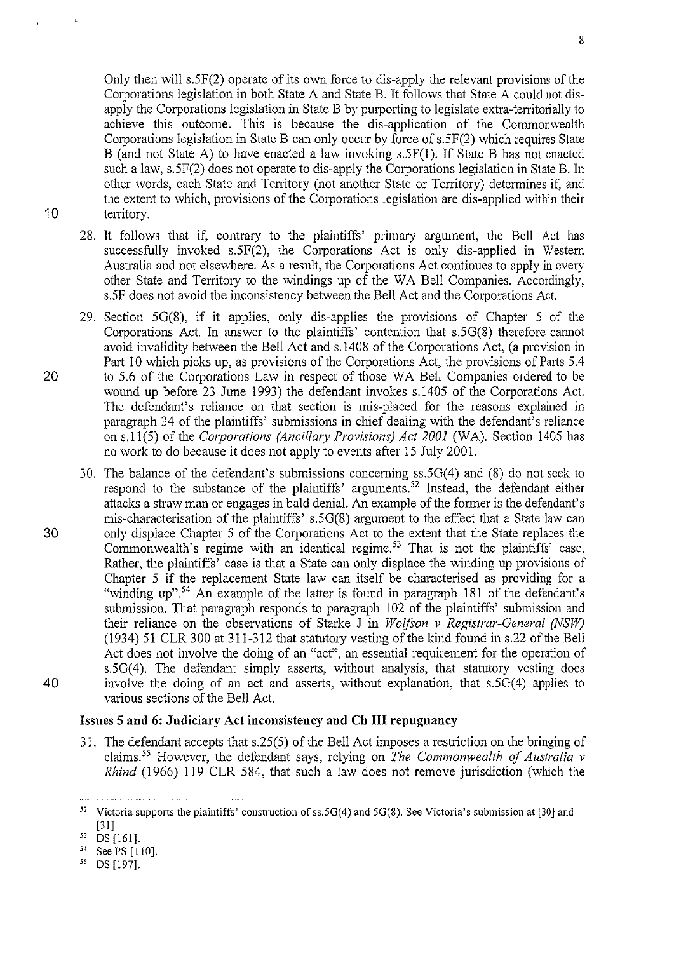Only then will s.5F(2) operate of its own force to dis-apply the relevant provisions of the Corporations legislation in both State A and State B. It follows that State A could not disapply the Corporations legislation in State B by purporting to legislate extra-territorially to achieve this outcome. This is because the dis-application of the Commonwealth Corporations legislation in State B can only occur by force of s.5F(2) which requires State B (and not State A) to have enacted a law invoking s.5F(l). If State B has not enacted such a law, s.5F(2) does not operate to dis-apply the Corporations legislation in State B. In other words, each State and Territory (not another State or Territory) determines if, and the extent to which, provisions of the Corporations legislation are dis-applied within their 10 territory.

- 28. It follows that if, contrary to the plaintiffs' primary argument, the Bell Act has successfully invoked s.5F(2), the Corporations Act is only dis-applied in Western Australia and not elsewhere. As a result, the Corporations Act continues to apply in every other State and Territory to the windings up of the WA Bell Companies. Accordingly, s.SF does not avoid the inconsistency between the Bell Act and the Corporations Act.
- 29. Section 50(8), if it applies, only dis-applies the provisions of Chapter 5 of the Corporations Act. In answer to the plaintiffs' contention that s.5G(8) therefore cannot avoid invalidity between the Bell Act and s.l408 of the Corporations Act, (a provision in Part 10 which picks up, as provisions of the Corporations Act, the provisions of Parts 5.4 20 to 5.6 of the Corporations Law in respect of those WA Bell Companies ordered to be wound up before 23 June 1993) the defendant invokes s.l405 of the Corporations Act. The defendant's reliance on that section is mis-placed for the reasons explained in paragraph 34 of the plaintiffs' submissions in chief dealing with the defendant's reliance on s.ll(S) of the *Corporations (Ancillary Provisions) Act 2001* (WA). Section 1405 has no work to do because it does not apply to events after 15 July 2001.
- 30. The balance of the defendant's submissions concerning ss.5G(4) and (8) do not seek to respond to the substance of the plaintiffs' arguments. 52 Instead, the defendant either attacks a straw man or engages in bald denial. An example of the former is the defendant's mis-characterisation of the plaintiffs' s.5G(8) argument to the effect that a State law can 30 only displace Chapter 5 of the Corporations Act to the extent that the State replaces the Commonwealth's regime with an identical regime.<sup>53</sup> That is not the plaintiffs' case. Rather, the plaintiffs' case is that a State can only displace the winding up provisions of Chapter 5 if the replacement State law can itself be characterised as providing for a "winding up".<sup>54</sup> An example of the latter is found in paragraph 181 of the defendant's submission. That paragraph responds to paragraph 102 of the plaintiffs' submission and their reliance on the observations of Starke J in *Wolfton v Registrar-General (NSW)*  (1934) 51 CLR 300 at 311-312 that statutory vesting of the kind found in s.22 of the Bell Act does not involve the doing of an "act", an essential requirement for the operation of s.5G(4). The defendant simply asserts, without analysis, that statutory vesting does 40 involve the doing of an act and asserts, without explanation, that  $s.5G(4)$  applies to various sections of the Bell Act.

#### Issues **5 and 6: Judiciary Act inconsistency and Ch HI repugnancy**

31. The defendant accepts that s.25(5) of the Bell Act imposes a restriction on the bringing of claims. 55 However, the defendant says, relying on *The Commonwealth of Australia v Rhind* (1966) 119 CLR 584, that such a law does not remove jurisdiction (which the

8

<sup>&</sup>lt;sup>52</sup> Victoria supports the plaintiffs' construction of ss.5G(4) and 5G(8). See Victoria's submission at [30] and  $\begin{bmatrix} 31 \\ 53 \end{bmatrix}$ . 53 [161].

<sup>54</sup> SeePS [110].

*<sup>55</sup>* DS [197].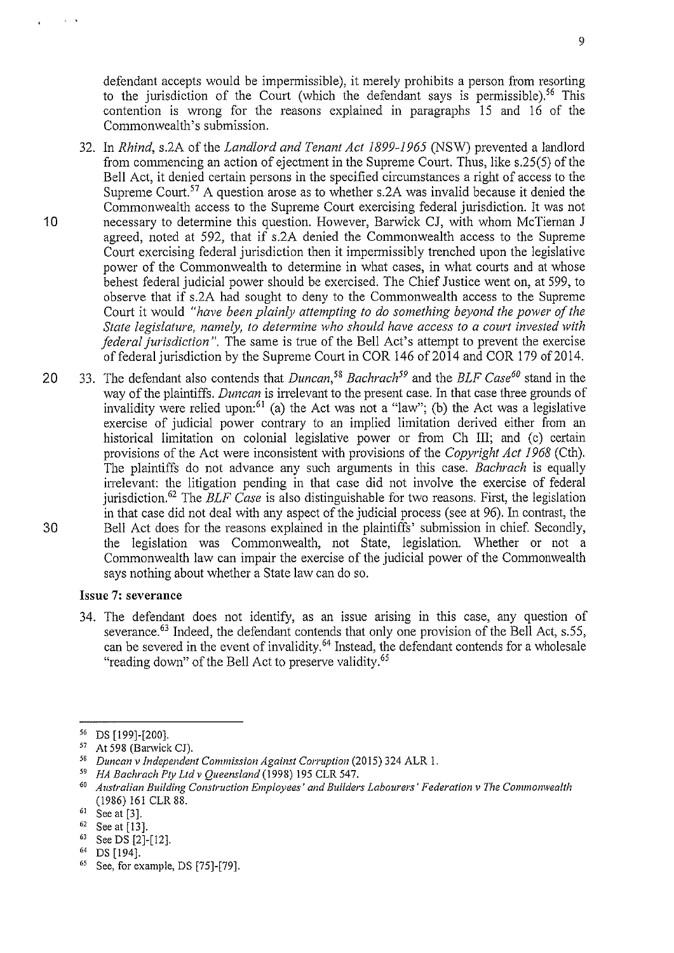defendant accepts would be impermissible), it merely prohibits a person from resorting to the jurisdiction of the Court (which the defendant says is permissible).<sup>56</sup> This contention is wrong for the reasons explained in paragraphs 15 and 16 of the Commonwealth's submission.

- 32. In *Rhind,* s.2A of the *Landlord and Tenant Act 1899-1965* (NSW) prevented a landlord from commencing an action of ejectment in the Supreme Court. Thus, like s.25(5) of the Bell Act, it denied certain persons in the specified circumstances a right of access to the Supreme Court.<sup>57</sup> A question arose as to whether s.2A was invalid because it denied the Commonwealth access to the Supreme Court exercising federal jurisdiction. It was not 10 necessary to determine this question. However, Barwick CJ, with whom McTiernan J agreed, noted at 592, that if s.2A denied the Commonwealth access to the Supreme Court exercising federal jurisdiction then it impermissibly trenched upon the legislative power of the Commonwealth to determine in what cases, in what courts and at whose behest federal judicial power should be exercised. The Chief Justice went on, at 599, to observe that if s.2A had sought to deny to the Commonwealth access to the Supreme Court it would *"have been plainly attempting to do something beyond the power of the State legislature, namely, to determine who should have access to a court invested with federal jurisdiction".* The same is true of the Bell Act's attempt to prevent the exercise of federal jurisdiction by the Supreme Court in COR 146 of 2014 and COR 179 of 2014.
- 20 33. The defendant also contends that *Duncan*<sup>58</sup> *Bachrach*<sup>59</sup> and the *BLF Case*<sup>60</sup> stand in the way of the plaintiffs. *Duncan* is irrelevant to the present case. In that case three grounds of invalidity were relied upon:<sup>61</sup> (a) the Act was not a "law"; (b) the Act was a legislative exercise of judicial power contrary to an implied limitation derived either from an historical limitation on colonial legislative power or from Ch III; and (c) certain provisions of the Act were inconsistent with provisions of the *Copyright Act 1968* (Cth). The plaintiffs do not advance any such arguments in this case. *Eachrach* is equally inelevant: the litigation pending in that case did not involve the exercise of federal jurisdiction. 62 The *ELF Case* is also distinguishable for two reasons. First, the legislation in that case did not deal with any aspect of the judicial process (see at 96). In contrast, the 30 Bell Act does for the reasons explained in the plaintiffs' submission in chief. Secondly, the legislation was Commonwealth, not State, legislation. Whether or not a Commonwealth law can impair the exercise of the judicial power of the Commonwealth says nothing about whether a State law can do so.

#### **Issue 7: severance**

34. The defendant does not identify, as an issue arising in this case, any question of severance.<sup>63</sup> Indeed, the defendant contends that only one provision of the Bell Act, s.55, can be severed in the event of invalidity.<sup>64</sup> Instead, the defendant contends for a wholesale "reading down" of the Bell Act to preserve validity. 65

<sup>&</sup>lt;sup>56</sup> DS [199]-[200].<br><sup>57</sup> At 598 (Barwick CJ).<br><sup>58</sup> Duncan v Independent Commission Against Corruption (2015) 324 ALR 1.<br><sup>59</sup> HA Bachrach Pty Ltd v Queensland (1998) 195 CLR 547.<br><sup>60</sup> Australian Building Construction Empl (1986) 161 CLR 88.

 $61$  See at [3].

 $^{62}$  See at [13].

See DS [2]-[12].

 $64$  DS [194].<br> $65$  See, for example, DS [75]-[79].